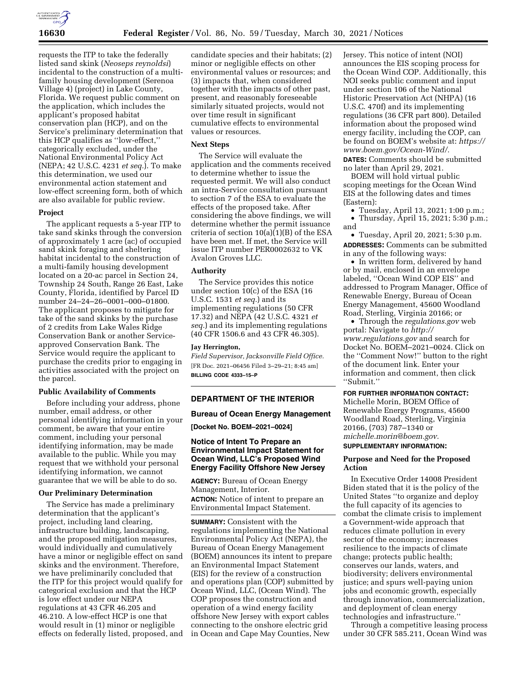

requests the ITP to take the federally listed sand skink (*Neoseps reynoldsi*) incidental to the construction of a multifamily housing development (Serenoa Village 4) (project) in Lake County, Florida. We request public comment on the application, which includes the applicant's proposed habitat conservation plan (HCP), and on the Service's preliminary determination that this HCP qualifies as ''low-effect,'' categorically excluded, under the National Environmental Policy Act (NEPA; 42 U.S.C. 4231 *et seq.*). To make this determination, we used our environmental action statement and low-effect screening form, both of which are also available for public review.

### **Project**

The applicant requests a 5-year ITP to take sand skinks through the conversion of approximately 1 acre (ac) of occupied sand skink foraging and sheltering habitat incidental to the construction of a multi-family housing development located on a 20-ac parcel in Section 24, Township 24 South, Range 26 East, Lake County, Florida, identified by Parcel ID number 24–24–26–0001–000–01800. The applicant proposes to mitigate for take of the sand skinks by the purchase of 2 credits from Lake Wales Ridge Conservation Bank or another Serviceapproved Conservation Bank. The Service would require the applicant to purchase the credits prior to engaging in activities associated with the project on the parcel.

## **Public Availability of Comments**

Before including your address, phone number, email address, or other personal identifying information in your comment, be aware that your entire comment, including your personal identifying information, may be made available to the public. While you may request that we withhold your personal identifying information, we cannot guarantee that we will be able to do so.

#### **Our Preliminary Determination**

The Service has made a preliminary determination that the applicant's project, including land clearing, infrastructure building, landscaping, and the proposed mitigation measures, would individually and cumulatively have a minor or negligible effect on sand skinks and the environment. Therefore, we have preliminarily concluded that the ITP for this project would qualify for categorical exclusion and that the HCP is low effect under our NEPA regulations at 43 CFR 46.205 and 46.210. A low-effect HCP is one that would result in (1) minor or negligible effects on federally listed, proposed, and

candidate species and their habitats; (2) minor or negligible effects on other environmental values or resources; and (3) impacts that, when considered together with the impacts of other past, present, and reasonably foreseeable similarly situated projects, would not over time result in significant cumulative effects to environmental values or resources.

#### **Next Steps**

The Service will evaluate the application and the comments received to determine whether to issue the requested permit. We will also conduct an intra-Service consultation pursuant to section 7 of the ESA to evaluate the effects of the proposed take. After considering the above findings, we will determine whether the permit issuance criteria of section 10(a)(1)(B) of the ESA have been met. If met, the Service will issue ITP number PER0002632 to VK Avalon Groves LLC.

#### **Authority**

The Service provides this notice under section 10(c) of the ESA (16 U.S.C. 1531 *et seq.*) and its implementing regulations (50 CFR 17.32) and NEPA (42 U.S.C. 4321 *et seq.*) and its implementing regulations (40 CFR 1506.6 and 43 CFR 46.305).

### **Jay Herrington,**

*Field Supervisor, Jacksonville Field Office.*  [FR Doc. 2021–06456 Filed 3–29–21; 8:45 am] **BILLING CODE 4333–15–P** 

#### **DEPARTMENT OF THE INTERIOR**

#### **Bureau of Ocean Energy Management**

**[Docket No. BOEM–2021–0024]** 

# **Notice of Intent To Prepare an Environmental Impact Statement for Ocean Wind, LLC's Proposed Wind Energy Facility Offshore New Jersey**

**AGENCY:** Bureau of Ocean Energy Management, Interior. **ACTION:** Notice of intent to prepare an Environmental Impact Statement.

**SUMMARY:** Consistent with the regulations implementing the National Environmental Policy Act (NEPA), the Bureau of Ocean Energy Management (BOEM) announces its intent to prepare an Environmental Impact Statement (EIS) for the review of a construction and operations plan (COP) submitted by Ocean Wind, LLC, (Ocean Wind). The COP proposes the construction and operation of a wind energy facility offshore New Jersey with export cables connecting to the onshore electric grid in Ocean and Cape May Counties, New

Jersey. This notice of intent (NOI) announces the EIS scoping process for the Ocean Wind COP. Additionally, this NOI seeks public comment and input under section 106 of the National Historic Preservation Act (NHPA) (16 U.S.C. 470f) and its implementing regulations (36 CFR part 800). Detailed information about the proposed wind energy facility, including the COP, can be found on BOEM's website at: *[https://](https://www.boem.gov/Ocean-Wind/)  [www.boem.gov/Ocean-Wind/.](https://www.boem.gov/Ocean-Wind/)* 

**DATES:** Comments should be submitted no later than April 29, 2021.

BOEM will hold virtual public scoping meetings for the Ocean Wind EIS at the following dates and times (Eastern):

- Tuesday, April 13, 2021; 1:00 p.m.;
- Thursday, April 15, 2021; 5:30 p.m.; and

• Tuesday, April 20, 2021; 5:30 p.m. **ADDRESSES:** Comments can be submitted in any of the following ways:

• In written form, delivered by hand or by mail, enclosed in an envelope labeled, ''Ocean Wind COP EIS'' and addressed to Program Manager, Office of Renewable Energy, Bureau of Ocean Energy Management, 45600 Woodland Road, Sterling, Virginia 20166; or

• Through the *regulations.gov* web portal: Navigate to *[http://](http://www.regulations.gov) [www.regulations.gov](http://www.regulations.gov)* and search for Docket No. BOEM–2021–0024. Click on the ''Comment Now!'' button to the right of the document link. Enter your information and comment, then click ''Submit.''

**FOR FURTHER INFORMATION CONTACT:**  Michelle Morin, BOEM Office of

Renewable Energy Programs, 45600 Woodland Road, Sterling, Virginia 20166, (703) 787–1340 or *[michelle.morin@boem.gov.](mailto:michelle.morin@boem.gov)* 

# **SUPPLEMENTARY INFORMATION:**

## **Purpose and Need for the Proposed Action**

In Executive Order 14008 President Biden stated that it is the policy of the United States ''to organize and deploy the full capacity of its agencies to combat the climate crisis to implement a Government-wide approach that reduces climate pollution in every sector of the economy; increases resilience to the impacts of climate change; protects public health; conserves our lands, waters, and biodiversity; delivers environmental justice; and spurs well-paying union jobs and economic growth, especially through innovation, commercialization, and deployment of clean energy technologies and infrastructure.''

Through a competitive leasing process under 30 CFR 585.211, Ocean Wind was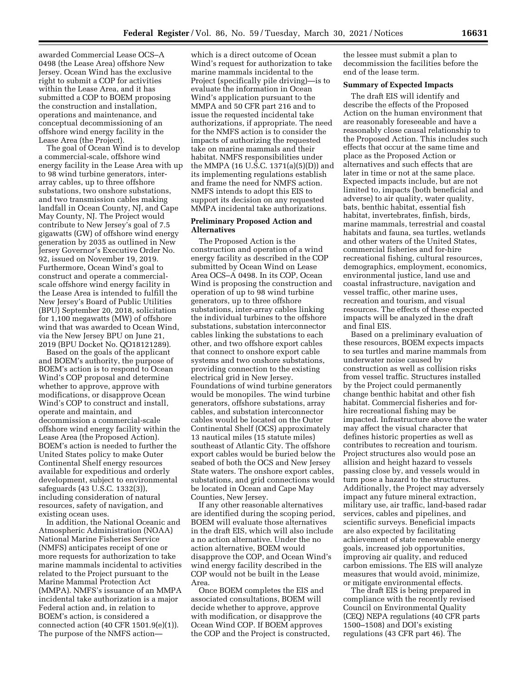awarded Commercial Lease OCS–A 0498 (the Lease Area) offshore New Jersey. Ocean Wind has the exclusive right to submit a COP for activities within the Lease Area, and it has submitted a COP to BOEM proposing the construction and installation, operations and maintenance, and conceptual decommissioning of an offshore wind energy facility in the Lease Area (the Project).

The goal of Ocean Wind is to develop a commercial-scale, offshore wind energy facility in the Lease Area with up to 98 wind turbine generators, interarray cables, up to three offshore substations, two onshore substations, and two transmission cables making landfall in Ocean County, NJ, and Cape May County, NJ. The Project would contribute to New Jersey's goal of 7.5 gigawatts (GW) of offshore wind energy generation by 2035 as outlined in New Jersey Governor's Executive Order No. 92, issued on November 19, 2019. Furthermore, Ocean Wind's goal to construct and operate a commercialscale offshore wind energy facility in the Lease Area is intended to fulfill the New Jersey's Board of Public Utilities (BPU) September 20, 2018, solicitation for 1,100 megawatts (MW) of offshore wind that was awarded to Ocean Wind, via the New Jersey BPU on June 21, 2019 (BPU Docket No. QO18121289).

Based on the goals of the applicant and BOEM's authority, the purpose of BOEM's action is to respond to Ocean Wind's COP proposal and determine whether to approve, approve with modifications, or disapprove Ocean Wind's COP to construct and install, operate and maintain, and decommission a commercial-scale offshore wind energy facility within the Lease Area (the Proposed Action). BOEM's action is needed to further the United States policy to make Outer Continental Shelf energy resources available for expeditious and orderly development, subject to environmental safeguards (43 U.S.C. 1332(3)), including consideration of natural resources, safety of navigation, and existing ocean uses.

In addition, the National Oceanic and Atmospheric Administration (NOAA) National Marine Fisheries Service (NMFS) anticipates receipt of one or more requests for authorization to take marine mammals incidental to activities related to the Project pursuant to the Marine Mammal Protection Act (MMPA). NMFS's issuance of an MMPA incidental take authorization is a major Federal action and, in relation to BOEM's action, is considered a connected action (40 CFR 1501.9(e)(1)). The purpose of the NMFS action—

which is a direct outcome of Ocean Wind's request for authorization to take marine mammals incidental to the Project (specifically pile driving)—is to evaluate the information in Ocean Wind's application pursuant to the MMPA and 50 CFR part 216 and to issue the requested incidental take authorizations, if appropriate. The need for the NMFS action is to consider the impacts of authorizing the requested take on marine mammals and their habitat. NMFS responsibilities under the MMPA (16 U.S.C. 1371(a)(5)(D)) and its implementing regulations establish and frame the need for NMFS action. NMFS intends to adopt this EIS to support its decision on any requested MMPA incidental take authorizations.

## **Preliminary Proposed Action and Alternatives**

The Proposed Action is the construction and operation of a wind energy facility as described in the COP submitted by Ocean Wind on Lease Area OCS–A 0498. In its COP, Ocean Wind is proposing the construction and operation of up to 98 wind turbine generators, up to three offshore substations, inter-array cables linking the individual turbines to the offshore substations, substation interconnector cables linking the substations to each other, and two offshore export cables that connect to onshore export cable systems and two onshore substations, providing connection to the existing electrical grid in New Jersey. Foundations of wind turbine generators would be monopiles. The wind turbine generators, offshore substations, array cables, and substation interconnector cables would be located on the Outer Continental Shelf (OCS) approximately 13 nautical miles (15 statute miles) southeast of Atlantic City. The offshore export cables would be buried below the seabed of both the OCS and New Jersey State waters. The onshore export cables, substations, and grid connections would be located in Ocean and Cape May Counties, New Jersey.

If any other reasonable alternatives are identified during the scoping period, BOEM will evaluate those alternatives in the draft EIS, which will also include a no action alternative. Under the no action alternative, BOEM would disapprove the COP, and Ocean Wind's wind energy facility described in the COP would not be built in the Lease Area.

Once BOEM completes the EIS and associated consultations, BOEM will decide whether to approve, approve with modification, or disapprove the Ocean Wind COP. If BOEM approves the COP and the Project is constructed, the lessee must submit a plan to decommission the facilities before the end of the lease term.

### **Summary of Expected Impacts**

The draft EIS will identify and describe the effects of the Proposed Action on the human environment that are reasonably foreseeable and have a reasonably close causal relationship to the Proposed Action. This includes such effects that occur at the same time and place as the Proposed Action or alternatives and such effects that are later in time or not at the same place. Expected impacts include, but are not limited to, impacts (both beneficial and adverse) to air quality, water quality, bats, benthic habitat, essential fish habitat, invertebrates, finfish, birds, marine mammals, terrestrial and coastal habitats and fauna, sea turtles, wetlands and other waters of the United States, commercial fisheries and for-hire recreational fishing, cultural resources, demographics, employment, economics, environmental justice, land use and coastal infrastructure, navigation and vessel traffic, other marine uses, recreation and tourism, and visual resources. The effects of these expected impacts will be analyzed in the draft and final EIS.

Based on a preliminary evaluation of these resources, BOEM expects impacts to sea turtles and marine mammals from underwater noise caused by construction as well as collision risks from vessel traffic. Structures installed by the Project could permanently change benthic habitat and other fish habitat. Commercial fisheries and forhire recreational fishing may be impacted. Infrastructure above the water may affect the visual character that defines historic properties as well as contributes to recreation and tourism. Project structures also would pose an allision and height hazard to vessels passing close by, and vessels would in turn pose a hazard to the structures. Additionally, the Project may adversely impact any future mineral extraction, military use, air traffic, land-based radar services, cables and pipelines, and scientific surveys. Beneficial impacts are also expected by facilitating achievement of state renewable energy goals, increased job opportunities, improving air quality, and reduced carbon emissions. The EIS will analyze measures that would avoid, minimize, or mitigate environmental effects.

The draft EIS is being prepared in compliance with the recently revised Council on Environmental Quality (CEQ) NEPA regulations (40 CFR parts 1500–1508) and DOI's existing regulations (43 CFR part 46). The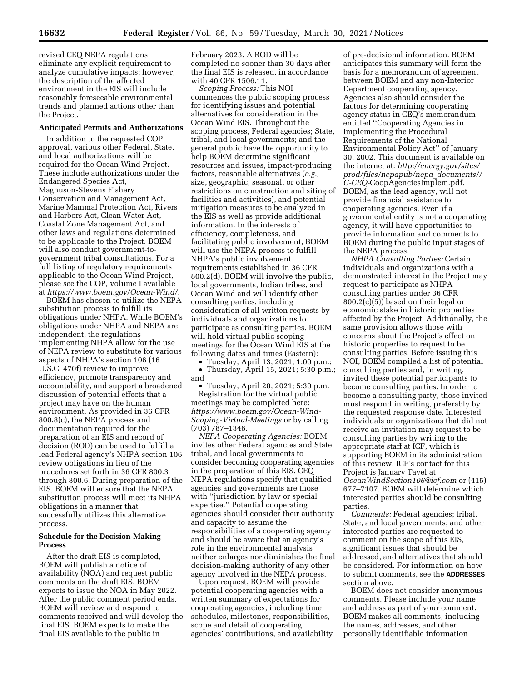revised CEQ NEPA regulations eliminate any explicit requirement to analyze cumulative impacts; however, the description of the affected environment in the EIS will include reasonably foreseeable environmental trends and planned actions other than the Project.

### **Anticipated Permits and Authorizations**

In addition to the requested COP approval, various other Federal, State, and local authorizations will be required for the Ocean Wind Project. These include authorizations under the Endangered Species Act, Magnuson-Stevens Fishery Conservation and Management Act, Marine Mammal Protection Act, Rivers and Harbors Act, Clean Water Act, Coastal Zone Management Act, and other laws and regulations determined to be applicable to the Project. BOEM will also conduct government-togovernment tribal consultations. For a full listing of regulatory requirements applicable to the Ocean Wind Project, please see the COP, volume I available at *[https://www.boem.gov/Ocean-Wind/.](https://www.boem.gov/Ocean-Wind/)* 

BOEM has chosen to utilize the NEPA substitution process to fulfill its obligations under NHPA. While BOEM's obligations under NHPA and NEPA are independent, the regulations implementing NHPA allow for the use of NEPA review to substitute for various aspects of NHPA's section 106 (16 U.S.C. 470f) review to improve efficiency, promote transparency and accountability, and support a broadened discussion of potential effects that a project may have on the human environment. As provided in 36 CFR 800.8(c), the NEPA process and documentation required for the preparation of an EIS and record of decision (ROD) can be used to fulfill a lead Federal agency's NHPA section 106 review obligations in lieu of the procedures set forth in 36 CFR 800.3 through 800.6. During preparation of the EIS, BOEM will ensure that the NEPA substitution process will meet its NHPA obligations in a manner that successfully utilizes this alternative process.

### **Schedule for the Decision-Making Process**

After the draft EIS is completed, BOEM will publish a notice of availability (NOA) and request public comments on the draft EIS. BOEM expects to issue the NOA in May 2022. After the public comment period ends, BOEM will review and respond to comments received and will develop the final EIS. BOEM expects to make the final EIS available to the public in

February 2023. A ROD will be completed no sooner than 30 days after the final EIS is released, in accordance with 40 CFR 1506.11.

*Scoping Process:* This NOI commences the public scoping process for identifying issues and potential alternatives for consideration in the Ocean Wind EIS. Throughout the scoping process, Federal agencies; State, tribal, and local governments; and the general public have the opportunity to help BOEM determine significant resources and issues, impact-producing factors, reasonable alternatives (*e.g.,*  size, geographic, seasonal, or other restrictions on construction and siting of facilities and activities), and potential mitigation measures to be analyzed in the EIS as well as provide additional information. In the interests of efficiency, completeness, and facilitating public involvement, BOEM will use the NEPA process to fulfill NHPA's public involvement requirements established in 36 CFR 800.2(d). BOEM will involve the public, local governments, Indian tribes, and Ocean Wind and will identify other consulting parties, including consideration of all written requests by individuals and organizations to participate as consulting parties. BOEM will hold virtual public scoping meetings for the Ocean Wind EIS at the following dates and times (Eastern):

• Tuesday, April 13, 2021; 1:00 p.m.; • Thursday, April 15, 2021; 5:30 p.m.; and

• Tuesday, April 20, 2021; 5:30 p.m. Registration for the virtual public meetings may be completed here: *[https://www.boem.gov/Ocean-Wind-](https://www.boem.gov/Ocean-Wind-Scoping-Virtual-Meetings)[Scoping-Virtual-Meetings](https://www.boem.gov/Ocean-Wind-Scoping-Virtual-Meetings)* or by calling (703) 787–1346.

*NEPA Cooperating Agencies:* BOEM invites other Federal agencies and State, tribal, and local governments to consider becoming cooperating agencies in the preparation of this EIS. CEQ NEPA regulations specify that qualified agencies and governments are those with ''jurisdiction by law or special expertise.'' Potential cooperating agencies should consider their authority and capacity to assume the responsibilities of a cooperating agency and should be aware that an agency's role in the environmental analysis neither enlarges nor diminishes the final decision-making authority of any other agency involved in the NEPA process.

Upon request, BOEM will provide potential cooperating agencies with a written summary of expectations for cooperating agencies, including time schedules, milestones, responsibilities, scope and detail of cooperating agencies' contributions, and availability

of pre-decisional information. BOEM anticipates this summary will form the basis for a memorandum of agreement between BOEM and any non-Interior Department cooperating agency. Agencies also should consider the factors for determining cooperating agency status in CEQ's memorandum entitled ''Cooperating Agencies in Implementing the Procedural Requirements of the National Environmental Policy Act'' of January 30, 2002. This document is available on the internet at: *[http://energy.gov/sites/](http://energy.gov/sites/prod/files/nepapub/nepa_documents//G-CEQ-CoopAgenciesImplem.pdf)  [prod/files/nepapub/nepa](http://energy.gov/sites/prod/files/nepapub/nepa_documents//G-CEQ-CoopAgenciesImplem.pdf)*\_*documents// G-CEQ-*[CoopAgenciesImplem.pdf](http://energy.gov/sites/prod/files/nepapub/nepa_documents//G-CEQ-CoopAgenciesImplem.pdf)*.*  BOEM, as the lead agency, will not provide financial assistance to cooperating agencies. Even if a governmental entity is not a cooperating agency, it will have opportunities to provide information and comments to BOEM during the public input stages of the NEPA process.

*NHPA Consulting Parties:* Certain individuals and organizations with a demonstrated interest in the Project may request to participate as NHPA consulting parties under 36 CFR 800.2(c)(5)) based on their legal or economic stake in historic properties affected by the Project. Additionally, the same provision allows those with concerns about the Project's effect on historic properties to request to be consulting parties. Before issuing this NOI, BOEM compiled a list of potential consulting parties and, in writing, invited these potential participants to become consulting parties. In order to become a consulting party, those invited must respond in writing, preferably by the requested response date. Interested individuals or organizations that did not receive an invitation may request to be consulting parties by writing to the appropriate staff at ICF, which is supporting BOEM in its administration of this review. ICF's contact for this Project is January Tavel at *[OceanWindSection106@icf.com](mailto:OceanWindSection106@icf.com)* or (415) 677–7107. BOEM will determine which interested parties should be consulting parties.

*Comments:* Federal agencies; tribal, State, and local governments; and other interested parties are requested to comment on the scope of this EIS, significant issues that should be addressed, and alternatives that should be considered. For information on how to submit comments, see the **ADDRESSES** section above.

BOEM does not consider anonymous comments. Please include your name and address as part of your comment. BOEM makes all comments, including the names, addresses, and other personally identifiable information